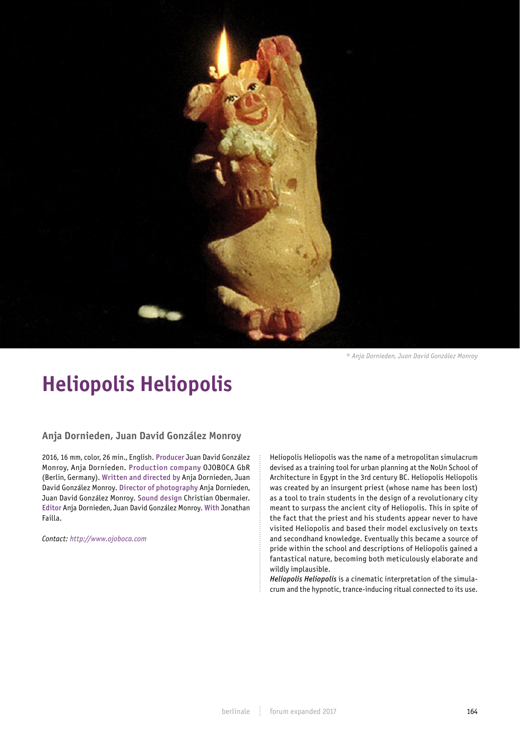

*© Anja Dornieden, Juan David González Monroy*

## **Heliopolis Heliopolis**

## **Anja Dornieden, Juan David González Monroy**

2016, 16 mm, color, 26 min., English. Producer Juan David González Monroy, Anja Dornieden. Production company OJOBOCA GbR (Berlin, Germany). Written and directed by Anja Dornieden, Juan David González Monroy. Director of photography Anja Dornieden, Juan David González Monroy. Sound design Christian Obermaier. Editor Anja Dornieden, Juan David González Monroy. With Jonathan Failla.

*Contact: http://www.ojoboca.com*

Heliopolis Heliopolis was the name of a metropolitan simulacrum devised as a training tool for urban planning at the NoUn School of Architecture in Egypt in the 3rd century BC. Heliopolis Heliopolis was created by an insurgent priest (whose name has been lost) as a tool to train students in the design of a revolutionary city meant to surpass the ancient city of Heliopolis. This in spite of the fact that the priest and his students appear never to have visited Heliopolis and based their model exclusively on texts and secondhand knowledge. Eventually this became a source of pride within the school and descriptions of Heliopolis gained a fantastical nature, becoming both meticulously elaborate and wildly implausible.

*Heliopolis Heliopolis* is a cinematic interpretation of the simulacrum and the hypnotic, trance-inducing ritual connected to its use.